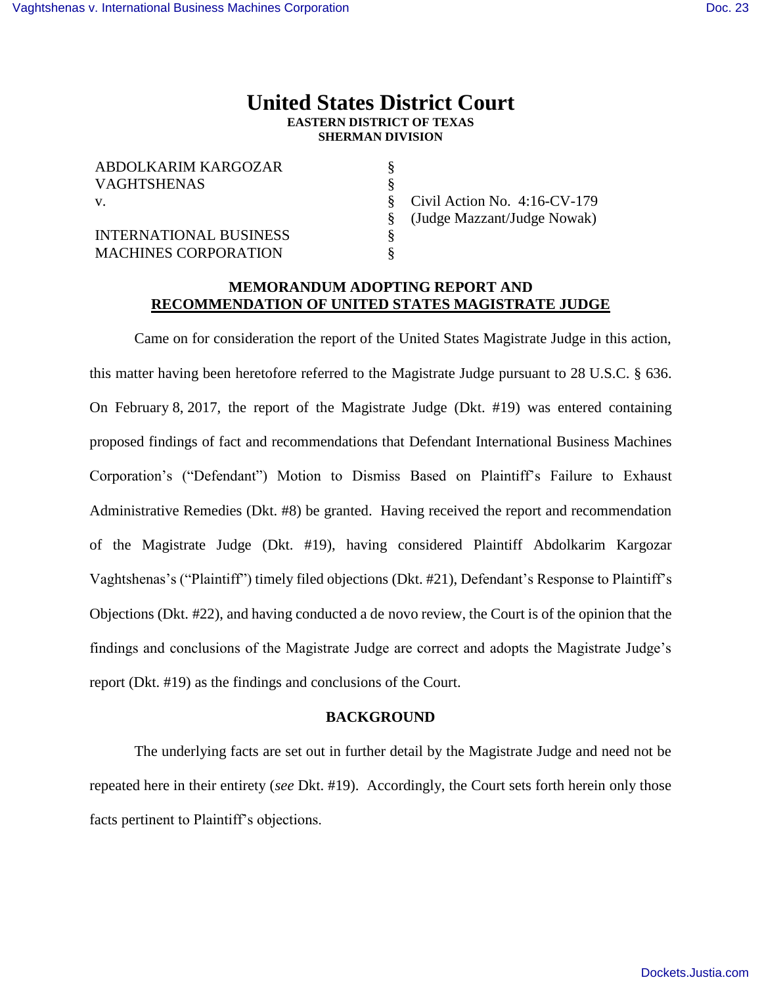# **United States District Court EASTERN DISTRICT OF TEXAS SHERMAN DIVISION**

§ § § § § §

| ABDOLKARIM KARGOZAR<br><b>VAGHTSHENAS</b> |
|-------------------------------------------|
| V.                                        |
| <b>INTERNATIONAL BUSINESS</b>             |
| <b>MACHINES CORPORATION</b>               |

Civil Action No. 4:16-CV-179 (Judge Mazzant/Judge Nowak)

# **MEMORANDUM ADOPTING REPORT AND RECOMMENDATION OF UNITED STATES MAGISTRATE JUDGE**

Came on for consideration the report of the United States Magistrate Judge in this action, this matter having been heretofore referred to the Magistrate Judge pursuant to 28 U.S.C. § 636. On February 8, 2017, the report of the Magistrate Judge (Dkt. #19) was entered containing proposed findings of fact and recommendations that Defendant International Business Machines Corporation's ("Defendant") Motion to Dismiss Based on Plaintiff's Failure to Exhaust Administrative Remedies (Dkt. #8) be granted. Having received the report and recommendation of the Magistrate Judge (Dkt. #19), having considered Plaintiff Abdolkarim Kargozar Vaghtshenas's ("Plaintiff") timely filed objections (Dkt. #21), Defendant's Response to Plaintiff's Objections (Dkt. #22), and having conducted a de novo review, the Court is of the opinion that the findings and conclusions of the Magistrate Judge are correct and adopts the Magistrate Judge's report (Dkt. #19) as the findings and conclusions of the Court.

### **BACKGROUND**

The underlying facts are set out in further detail by the Magistrate Judge and need not be repeated here in their entirety (*see* Dkt. #19). Accordingly, the Court sets forth herein only those facts pertinent to Plaintiff's objections.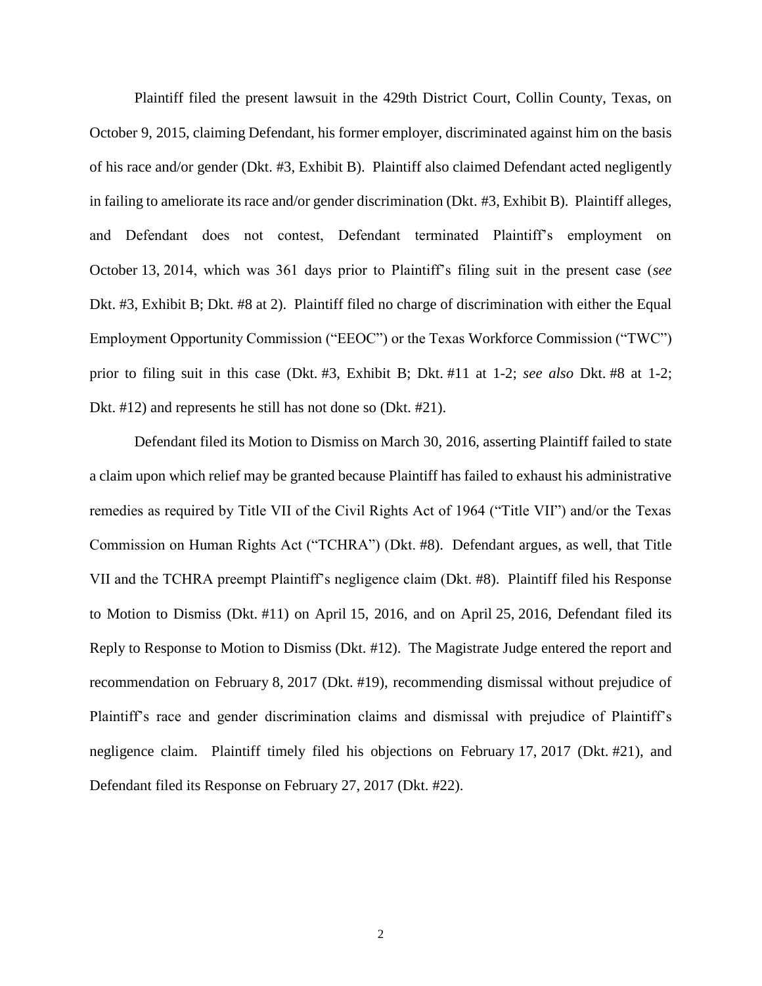Plaintiff filed the present lawsuit in the 429th District Court, Collin County, Texas, on October 9, 2015, claiming Defendant, his former employer, discriminated against him on the basis of his race and/or gender (Dkt. #3, Exhibit B). Plaintiff also claimed Defendant acted negligently in failing to ameliorate its race and/or gender discrimination (Dkt. #3, Exhibit B). Plaintiff alleges, and Defendant does not contest, Defendant terminated Plaintiff's employment on October 13, 2014, which was 361 days prior to Plaintiff's filing suit in the present case (*see*  Dkt. #3, Exhibit B; Dkt. #8 at 2). Plaintiff filed no charge of discrimination with either the Equal Employment Opportunity Commission ("EEOC") or the Texas Workforce Commission ("TWC") prior to filing suit in this case (Dkt. #3, Exhibit B; Dkt. #11 at 1-2; *see also* Dkt. #8 at 1-2; Dkt. #12) and represents he still has not done so (Dkt. #21).

Defendant filed its Motion to Dismiss on March 30, 2016, asserting Plaintiff failed to state a claim upon which relief may be granted because Plaintiff has failed to exhaust his administrative remedies as required by Title VII of the Civil Rights Act of 1964 ("Title VII") and/or the Texas Commission on Human Rights Act ("TCHRA") (Dkt. #8). Defendant argues, as well, that Title VII and the TCHRA preempt Plaintiff's negligence claim (Dkt. #8). Plaintiff filed his Response to Motion to Dismiss (Dkt. #11) on April 15, 2016, and on April 25, 2016, Defendant filed its Reply to Response to Motion to Dismiss (Dkt. #12). The Magistrate Judge entered the report and recommendation on February 8, 2017 (Dkt. #19), recommending dismissal without prejudice of Plaintiff's race and gender discrimination claims and dismissal with prejudice of Plaintiff's negligence claim. Plaintiff timely filed his objections on February 17, 2017 (Dkt. #21), and Defendant filed its Response on February 27, 2017 (Dkt. #22).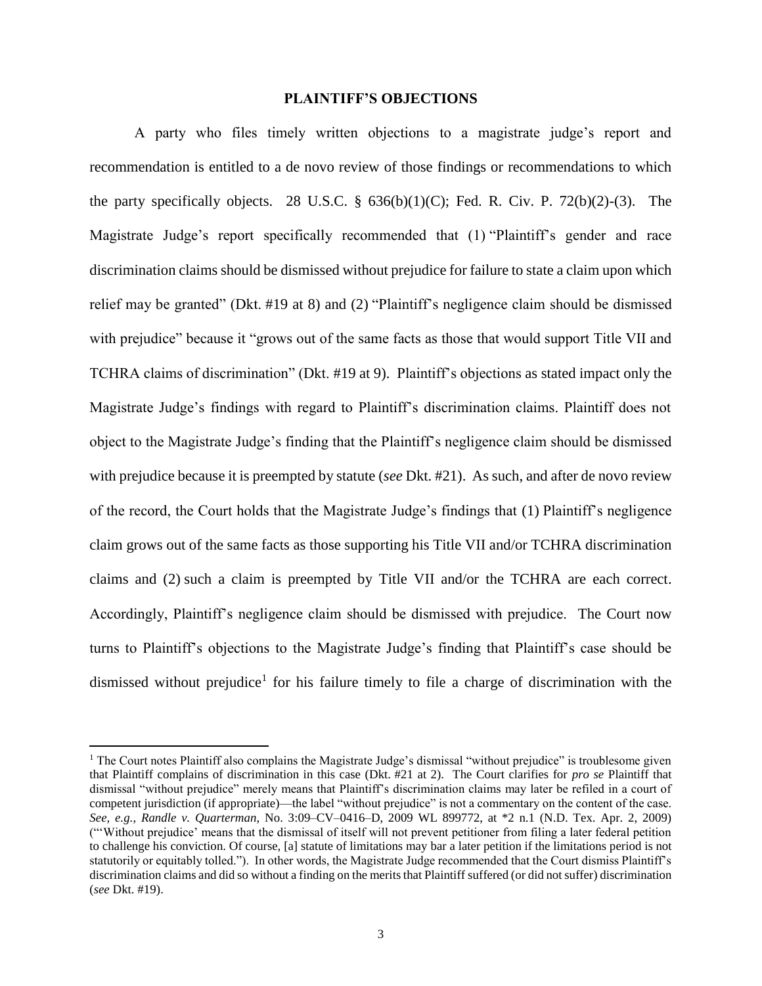#### **PLAINTIFF'S OBJECTIONS**

A party who files timely written objections to a magistrate judge's report and recommendation is entitled to a de novo review of those findings or recommendations to which the party specifically objects. 28 U.S.C.  $\S$  636(b)(1)(C); Fed. R. Civ. P. 72(b)(2)-(3). The Magistrate Judge's report specifically recommended that (1) "Plaintiff's gender and race discrimination claims should be dismissed without prejudice for failure to state a claim upon which relief may be granted" (Dkt. #19 at 8) and (2) "Plaintiff's negligence claim should be dismissed with prejudice" because it "grows out of the same facts as those that would support Title VII and TCHRA claims of discrimination" (Dkt. #19 at 9). Plaintiff's objections as stated impact only the Magistrate Judge's findings with regard to Plaintiff's discrimination claims. Plaintiff does not object to the Magistrate Judge's finding that the Plaintiff's negligence claim should be dismissed with prejudice because it is preempted by statute (*see* Dkt. #21). As such, and after de novo review of the record, the Court holds that the Magistrate Judge's findings that (1) Plaintiff's negligence claim grows out of the same facts as those supporting his Title VII and/or TCHRA discrimination claims and (2) such a claim is preempted by Title VII and/or the TCHRA are each correct. Accordingly, Plaintiff's negligence claim should be dismissed with prejudice. The Court now turns to Plaintiff's objections to the Magistrate Judge's finding that Plaintiff's case should be dismissed without prejudice<sup>1</sup> for his failure timely to file a charge of discrimination with the

<sup>&</sup>lt;sup>1</sup> The Court notes Plaintiff also complains the Magistrate Judge's dismissal "without prejudice" is troublesome given that Plaintiff complains of discrimination in this case (Dkt. #21 at 2). The Court clarifies for *pro se* Plaintiff that dismissal "without prejudice" merely means that Plaintiff's discrimination claims may later be refiled in a court of competent jurisdiction (if appropriate)—the label "without prejudice" is not a commentary on the content of the case. *See, e.g.*, *Randle v. Quarterman*, No. 3:09–CV–0416–D, 2009 WL 899772, at \*2 n.1 (N.D. Tex. Apr. 2, 2009) ("'Without prejudice' means that the dismissal of itself will not prevent petitioner from filing a later federal petition to challenge his conviction. Of course, [a] statute of limitations may bar a later petition if the limitations period is not statutorily or equitably tolled."). In other words, the Magistrate Judge recommended that the Court dismiss Plaintiff's discrimination claims and did so without a finding on the merits that Plaintiff suffered (or did not suffer) discrimination (*see* Dkt. #19).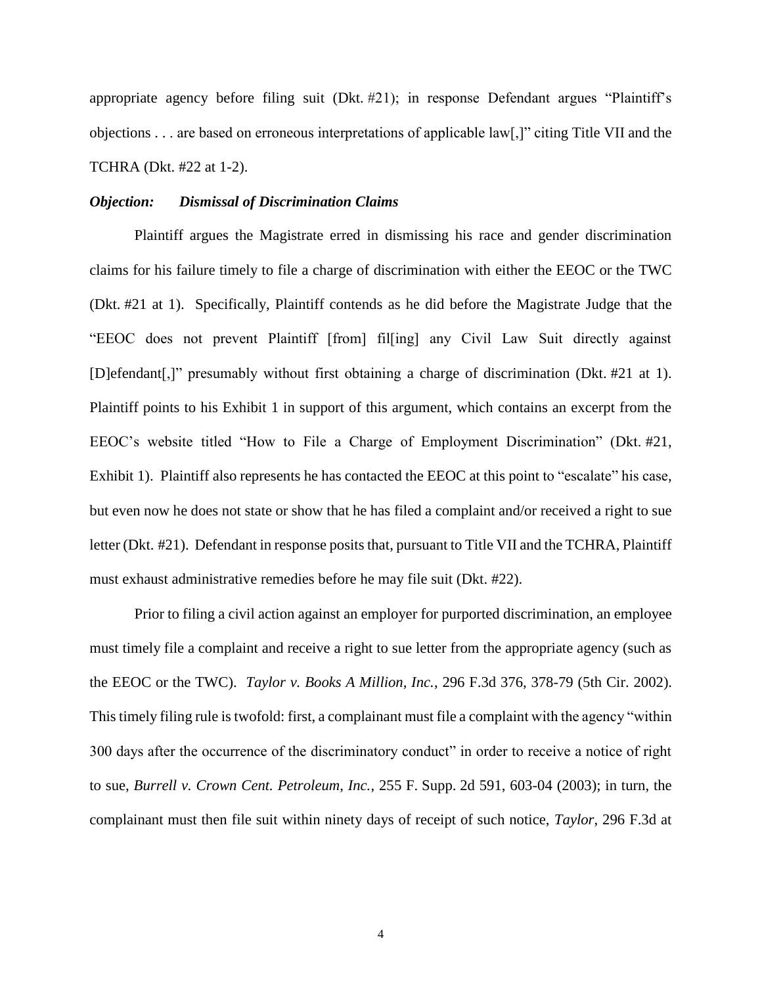appropriate agency before filing suit (Dkt. #21); in response Defendant argues "Plaintiff's objections . . . are based on erroneous interpretations of applicable law[,]" citing Title VII and the TCHRA (Dkt. #22 at 1-2).

#### *Objection: Dismissal of Discrimination Claims*

Plaintiff argues the Magistrate erred in dismissing his race and gender discrimination claims for his failure timely to file a charge of discrimination with either the EEOC or the TWC (Dkt. #21 at 1). Specifically, Plaintiff contends as he did before the Magistrate Judge that the "EEOC does not prevent Plaintiff [from] fil[ing] any Civil Law Suit directly against [D]efendant[,]" presumably without first obtaining a charge of discrimination (Dkt. #21 at 1). Plaintiff points to his Exhibit 1 in support of this argument, which contains an excerpt from the EEOC's website titled "How to File a Charge of Employment Discrimination" (Dkt. #21, Exhibit 1). Plaintiff also represents he has contacted the EEOC at this point to "escalate" his case, but even now he does not state or show that he has filed a complaint and/or received a right to sue letter (Dkt. #21). Defendant in response posits that, pursuant to Title VII and the TCHRA, Plaintiff must exhaust administrative remedies before he may file suit (Dkt. #22).

Prior to filing a civil action against an employer for purported discrimination, an employee must timely file a complaint and receive a right to sue letter from the appropriate agency (such as the EEOC or the TWC). *Taylor v. Books A Million, Inc.*, 296 F.3d 376, 378-79 (5th Cir. 2002). This timely filing rule is twofold: first, a complainant must file a complaint with the agency "within 300 days after the occurrence of the discriminatory conduct" in order to receive a notice of right to sue, *Burrell v. Crown Cent. Petroleum, Inc.*, 255 F. Supp. 2d 591, 603-04 (2003); in turn, the complainant must then file suit within ninety days of receipt of such notice, *Taylor*, 296 F.3d at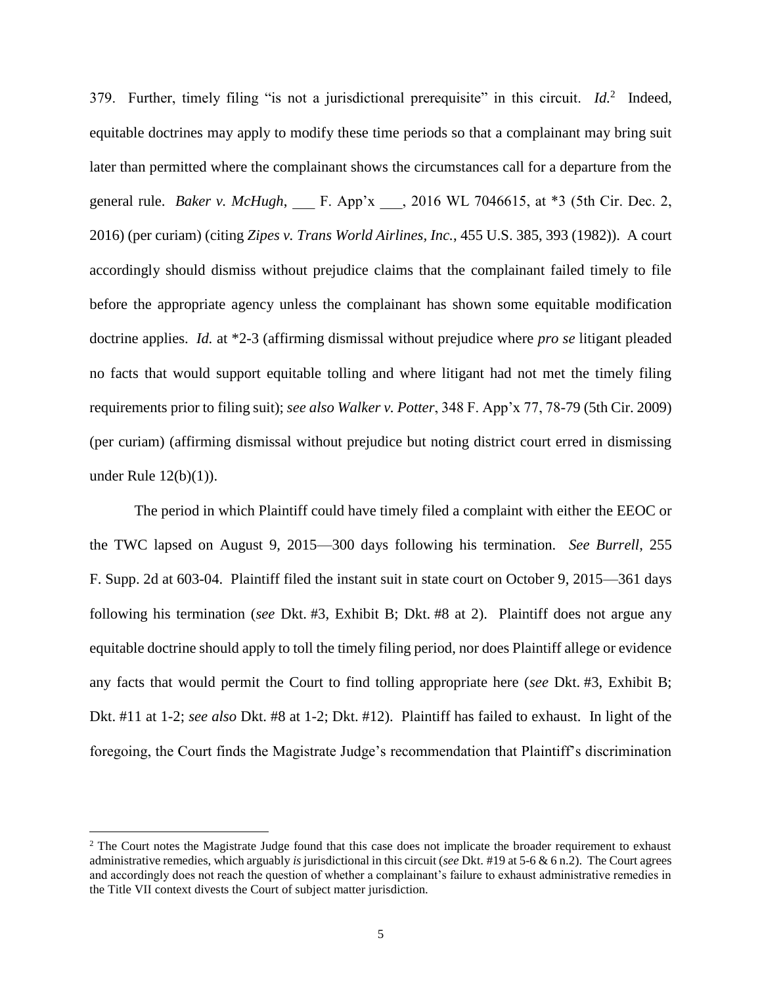379. Further, timely filing "is not a jurisdictional prerequisite" in this circuit. *Id.*<sup>2</sup> Indeed, equitable doctrines may apply to modify these time periods so that a complainant may bring suit later than permitted where the complainant shows the circumstances call for a departure from the general rule. *Baker v. McHugh*, F. App'x ... 2016 WL 7046615, at \*3 (5th Cir. Dec. 2, 2016) (per curiam) (citing *Zipes v. Trans World Airlines, Inc.*, 455 U.S. 385, 393 (1982)). A court accordingly should dismiss without prejudice claims that the complainant failed timely to file before the appropriate agency unless the complainant has shown some equitable modification doctrine applies. *Id.* at \*2-3 (affirming dismissal without prejudice where *pro se* litigant pleaded no facts that would support equitable tolling and where litigant had not met the timely filing requirements prior to filing suit); *see also Walker v. Potter*, 348 F. App'x 77, 78-79 (5th Cir. 2009) (per curiam) (affirming dismissal without prejudice but noting district court erred in dismissing under Rule 12(b)(1)).

The period in which Plaintiff could have timely filed a complaint with either the EEOC or the TWC lapsed on August 9, 2015—300 days following his termination. *See Burrell*, 255 F. Supp. 2d at 603-04. Plaintiff filed the instant suit in state court on October 9, 2015—361 days following his termination (*see* Dkt. #3, Exhibit B; Dkt. #8 at 2). Plaintiff does not argue any equitable doctrine should apply to toll the timely filing period, nor does Plaintiff allege or evidence any facts that would permit the Court to find tolling appropriate here (*see* Dkt. #3, Exhibit B; Dkt. #11 at 1-2; *see also* Dkt. #8 at 1-2; Dkt. #12). Plaintiff has failed to exhaust. In light of the foregoing, the Court finds the Magistrate Judge's recommendation that Plaintiff's discrimination

 $\overline{a}$ 

<sup>&</sup>lt;sup>2</sup> The Court notes the Magistrate Judge found that this case does not implicate the broader requirement to exhaust administrative remedies, which arguably *is* jurisdictional in this circuit (*see* Dkt. #19 at 5-6 & 6 n.2). The Court agrees and accordingly does not reach the question of whether a complainant's failure to exhaust administrative remedies in the Title VII context divests the Court of subject matter jurisdiction.